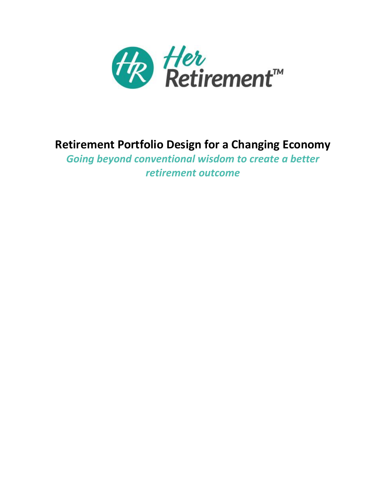

# **Retirement Portfolio Design for a Changing Economy**

*Going beyond conventional wisdom to create a better retirement outcome*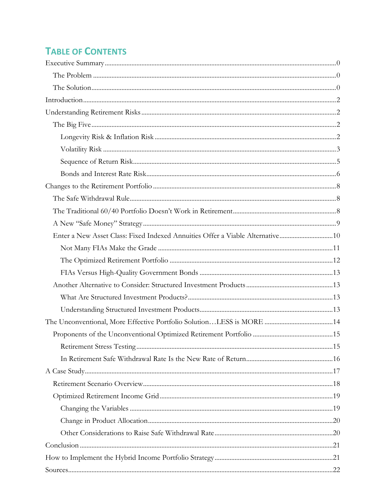# **TABLE OF CONTENTS**

| Enter a New Asset Class: Fixed Indexed Annuities Offer a Viable Alternative10 |  |
|-------------------------------------------------------------------------------|--|
|                                                                               |  |
|                                                                               |  |
|                                                                               |  |
|                                                                               |  |
|                                                                               |  |
|                                                                               |  |
|                                                                               |  |
|                                                                               |  |
|                                                                               |  |
|                                                                               |  |
|                                                                               |  |
|                                                                               |  |
|                                                                               |  |
|                                                                               |  |
|                                                                               |  |
|                                                                               |  |
|                                                                               |  |
|                                                                               |  |
|                                                                               |  |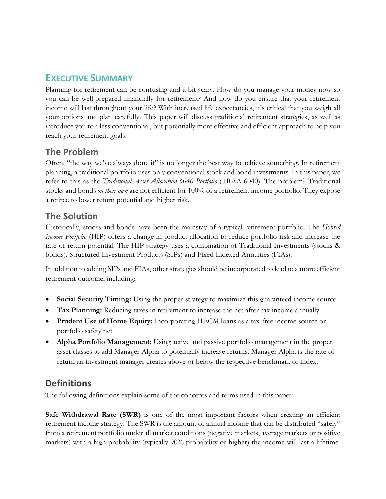# <span id="page-2-0"></span>**EXECUTIVE SUMMARY**

Planning for retirement can be confusing and a bit scary. How do you manage your money now so you can be well-prepared financially for retirement? And how do you ensure that your retirement income will last throughout your life? With increased life expectancies, it's critical that you weigh all your options and plan carefully. This paper will discuss traditional retirement strategies, as well as introduce you to a less conventional, but potentially more effective and efficient approach to help you reach your retirement goals.

# <span id="page-2-1"></span>**The Problem**

Often, "the way we've always done it" is no longer the best way to achieve something. In retirement planning, a traditional portfolio uses only conventional stock and bond investments. In this paper, we refer to this as the *Traditional Asset Allocation 6040 Portfolio* (TRAA 6040). The problem? Traditional stocks and bonds *on their own* are not efficient for 100% of a retirement income portfolio. They expose a retiree to lower return potential and higher risk.

# <span id="page-2-2"></span>**The Solution**

Historically, stocks and bonds have been the mainstay of a typical retirement portfolio. The *Hybrid Income Portfolio* (HIP) offers a change in product allocation to reduce portfolio risk and increase the rate of return potential. The HIP strategy uses a combination of Traditional Investments (stocks & bonds), Structured Investment Products (SIPs) and Fixed Indexed Annuities (FIAs).

In addition to adding SIPs and FIAs, other strategies should be incorporated to lead to a more efficient retirement outcome, including:

- **Social Security Timing:** Using the proper strategy to maximize this guaranteed income source
- **Tax Planning:** Reducing taxes in retirement to increase the net after-tax income annually
- **Prudent Use of Home Equity:** Incorporating HECM loans as a tax-free income source or portfolio safety net
- **Alpha Portfolio Management:** Using active and passive portfolio management in the proper asset classes to add Manager Alpha to potentially increase returns. Manager Alpha is the rate of return an investment manager creates above or below the respective benchmark or index.

# **Definitions**

The following definitions explain some of the concepts and terms used in this paper:

**Safe Withdrawal Rate (SWR)** is one of the most important factors when creating an efficient retirement income strategy. The SWR is the amount of annual income that can be distributed "safely" from a retirement portfolio under all market conditions (negative markets, average markets or positive markets) with a high probability (typically 90% probability or higher) the income will last a lifetime.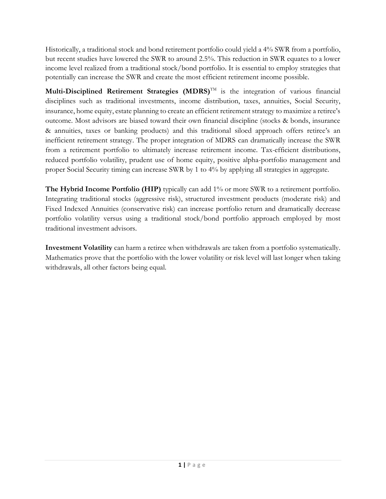Historically, a traditional stock and bond retirement portfolio could yield a 4% SWR from a portfolio, but recent studies have lowered the SWR to around 2.5%. This reduction in SWR equates to a lower income level realized from a traditional stock/bond portfolio. It is essential to employ strategies that potentially can increase the SWR and create the most efficient retirement income possible.

**Multi-Disciplined Retirement Strategies (MDRS)<sup>™</sup> is the integration of various financial** disciplines such as traditional investments, income distribution, taxes, annuities, Social Security, insurance, home equity, estate planning to create an efficient retirement strategy to maximize a retiree's outcome. Most advisors are biased toward their own financial discipline (stocks & bonds, insurance & annuities, taxes or banking products) and this traditional siloed approach offers retiree's an inefficient retirement strategy. The proper integration of MDRS can dramatically increase the SWR from a retirement portfolio to ultimately increase retirement income. Tax-efficient distributions, reduced portfolio volatility, prudent use of home equity, positive alpha-portfolio management and proper Social Security timing can increase SWR by 1 to 4% by applying all strategies in aggregate.

**The Hybrid Income Portfolio (HIP)** typically can add 1% or more SWR to a retirement portfolio. Integrating traditional stocks (aggressive risk), structured investment products (moderate risk) and Fixed Indexed Annuities (conservative risk) can increase portfolio return and dramatically decrease portfolio volatility versus using a traditional stock/bond portfolio approach employed by most traditional investment advisors.

**Investment Volatility** can harm a retiree when withdrawals are taken from a portfolio systematically. Mathematics prove that the portfolio with the lower volatility or risk level will last longer when taking withdrawals, all other factors being equal.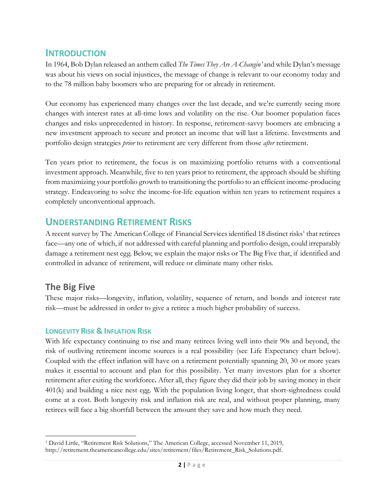## <span id="page-4-0"></span>**INTRODUCTION**

In 1964, Bob Dylan released an anthem called *The Times They Are A-Changin'* and while Dylan's message was about his views on social injustices, the message of change is relevant to our economy today and to the 78 million baby boomers who are preparing for or already in retirement.

Our economy has experienced many changes over the last decade, and we're currently seeing more changes with interest rates at all-time lows and volatility on the rise. Our boomer population faces changes and risks unprecedented in history. In response, retirement-savvy boomers are embracing a new investment approach to secure and protect an income that will last a lifetime. Investments and portfolio design strategies *prior* to retirement are very different from those *after* retirement.

Ten years prior to retirement, the focus is on maximizing portfolio returns with a conventional investment approach. Meanwhile, five to ten years prior to retirement, the approach should be shifting from maximizing your portfolio growth to transitioning the portfolio to an efficient income-producing strategy. Endeavoring to solve the income-for-life equation within ten years to retirement requires a completely unconventional approach.

## <span id="page-4-1"></span>**UNDERSTANDING RETIREMENT RISKS**

A recent survey by The American College of Financial Services identified 18 distinct risks<sup>1</sup> that retirees face—any one of which, if not addressed with careful planning and portfolio design, could irreparably damage a retirement nest egg. Below, we explain the major risks or The Big Five that, if identified and controlled in advance of retirement, will reduce or eliminate many other risks.

## <span id="page-4-2"></span>**The Big Five**

These major risks—longevity, inflation, volatility, sequence of return, and bonds and interest rate risk—must be addressed in order to give a retiree a much higher probability of success.

### <span id="page-4-3"></span>**LONGEVITY RISK & INFLATION RISK**

With life expectancy continuing to rise and many retirees living well into their 90s and beyond, the risk of outliving retirement income sources is a real possibility (see Life Expectancy chart below). Coupled with the effect inflation will have on a retirement potentially spanning 20, 30 or more years makes it essential to account and plan for this possibility. Yet many investors plan for a shorter retirement after exiting the workforce**.** After all, they figure they did their job by saving money in their 401(k) and building a nice nest egg. With the population living longer, that short-sightedness could come at a cost. Both longevity risk and inflation risk are real, and without proper planning, many retirees will face a big shortfall between the amount they save and how much they need.

<sup>1</sup> David Little, "Retirement Risk Solutions," The American College, accessed November 11, 2019, [http://retirement.theamericancollege.edu/sites/retirement/files/Retirement\\_Risk\\_Solutions.pdf.](http://retirement.theamericancollege.edu/sites/retirement/files/Retirement_Risk_Solutions.pdf)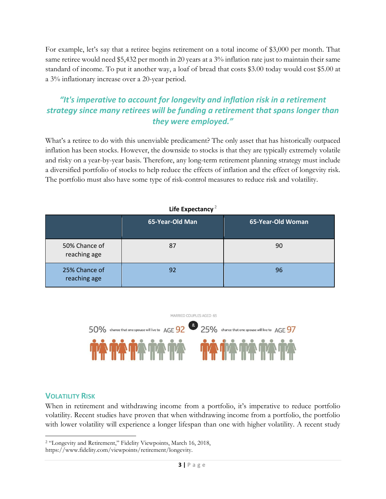For example, let's say that a retiree begins retirement on a total income of \$3,000 per month. That same retiree would need \$5,432 per month in 20 years at a 3% inflation rate just to maintain their same standard of income. To put it another way, a loaf of bread that costs \$3.00 today would cost \$5.00 at a 3% inflationary increase over a 20-year period.

## *"It's imperative to account for longevity and inflation risk in a retirement strategy since many retirees will be funding a retirement that spans longer than they were employed."*

What's a retiree to do with this unenviable predicament? The only asset that has historically outpaced inflation has been stocks. However, the downside to stocks is that they are typically extremely volatile and risky on a year-by-year basis. Therefore, any long-term retirement planning strategy must include a diversified portfolio of stocks to help reduce the effects of inflation and the effect of longevity risk. The portfolio must also have some type of risk-control measures to reduce risk and volatility.

| <b>EUR EVACONNIA</b>          |                 |                   |  |  |  |  |
|-------------------------------|-----------------|-------------------|--|--|--|--|
|                               | 65-Year-Old Man | 65-Year-Old Woman |  |  |  |  |
| 50% Chance of<br>reaching age | 87              | 90                |  |  |  |  |
| 25% Chance of<br>reaching age | 92              | 96                |  |  |  |  |

### **Life Expectancy** <sup>2</sup>



### <span id="page-5-0"></span>**VOLATILITY RISK**

When in retirement and withdrawing income from a portfolio, it's imperative to reduce portfolio volatility. Recent studies have proven that when withdrawing income from a portfolio, the portfolio with lower volatility will experience a longer lifespan than one with higher volatility. A recent study

<sup>2</sup> "Longevity and Retirement," Fidelity Viewpoints, March 16, 2018,

https://www.fidelity.com/viewpoints/retirement/longevity.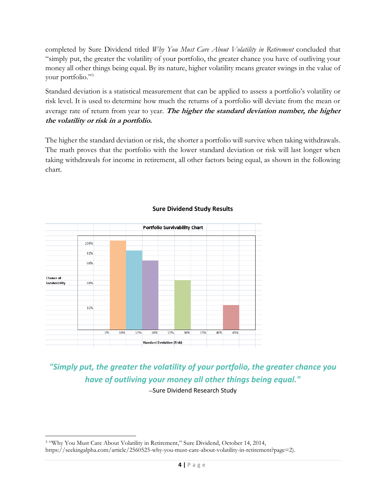completed by Sure Dividend titled *Why You Must Care About Volatility in Retirement* concluded that "simply put, the greater the volatility of your portfolio, the greater chance you have of outliving your money all other things being equal. By its nature, higher volatility means greater swings in the value of your portfolio."<sup>3</sup>

Standard deviation is a statistical measurement that can be applied to assess a portfolio's volatility or risk level. It is used to determine how much the returns of a portfolio will deviate from the mean or average rate of return from year to year. **The higher the standard deviation number, the higher the volatility or risk in a portfolio.**

The higher the standard deviation or risk, the shorter a portfolio will survive when taking withdrawals. The math proves that the portfolio with the lower standard deviation or risk will last longer when taking withdrawals for income in retirement, all other factors being equal, as shown in the following chart.



#### **Sure Dividend Study Results**

*"Simply put, the greater the volatility of your portfolio, the greater chance you have of outliving your money all other things being equal."*

–Sure Dividend Research Study

<sup>&</sup>lt;sup>3</sup> "Why You Must Care About Volatility in Retirement," Sure Dividend, October 14, 2014, https://seekingalpha.com/article/2560525-why-you-must-care-about-volatility-in-retirement?page=2).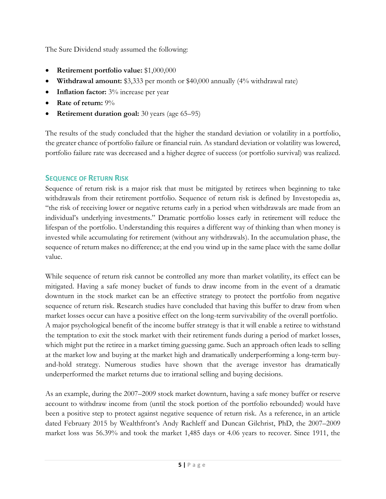The Sure Dividend study assumed the following:

- **Retirement portfolio value:** \$1,000,000
- **Withdrawal amount:** \$3,333 per month or \$40,000 annually (4% withdrawal rate)
- **Inflation factor:**  $3\%$  increase per year
- **Rate of return:** 9%
- **Retirement duration goal:** 30 years (age 65–95)

The results of the study concluded that the higher the standard deviation or volatility in a portfolio, the greater chance of portfolio failure or financial ruin. As standard deviation or volatility was lowered, portfolio failure rate was decreased and a higher degree of success (or portfolio survival) was realized.

## <span id="page-7-0"></span>**SEQUENCE OF RETURN RISK**

Sequence of return risk is a major risk that must be mitigated by retirees when beginning to take withdrawals from their retirement portfolio. Sequence of return risk is defined by Investopedia as, "the risk of receiving lower or negative returns early in a period when withdrawals are made from an individual's underlying investments." Dramatic portfolio losses early in retirement will reduce the lifespan of the portfolio. Understanding this requires a different way of thinking than when money is invested while accumulating for retirement (without any withdrawals). In the accumulation phase, the sequence of return makes no difference; at the end you wind up in the same place with the same dollar value.

While sequence of return risk cannot be controlled any more than market volatility, its effect can be mitigated. Having a safe money bucket of funds to draw income from in the event of a dramatic downturn in the stock market can be an effective strategy to protect the portfolio from negative sequence of return risk. Research studies have concluded that having this buffer to draw from when market losses occur can have a positive effect on the long-term survivability of the overall portfolio. A major psychological benefit of the income buffer strategy is that it will enable a retiree to withstand the temptation to exit the stock market with their retirement funds during a period of market losses, which might put the retiree in a market timing guessing game. Such an approach often leads to selling at the market low and buying at the market high and dramatically underperforming a long-term buyand-hold strategy. Numerous studies have shown that the average investor has dramatically underperformed the market returns due to irrational selling and buying decisions.

As an example, during the 2007–2009 stock market downturn, having a safe money buffer or reserve account to withdraw income from (until the stock portion of the portfolio rebounded) would have been a positive step to protect against negative sequence of return risk. As a reference, in an article dated February 2015 by Wealthfront's Andy Rachleff and Duncan Gilchrist, PhD, the 2007–2009 market loss was 56.39% and took the market 1,485 days or 4.06 years to recover. Since 1911, the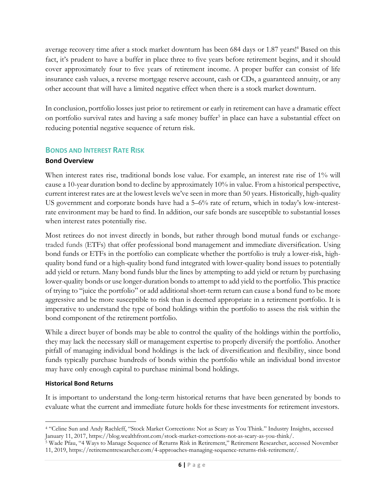average recovery time after a stock market downturn has been 684 days or 1.87 years!<sup>4</sup> Based on this fact, it's prudent to have a buffer in place three to five years before retirement begins, and it should cover approximately four to five years of retirement income. A proper buffer can consist of life insurance cash values, a reverse mortgage reserve account, cash or CDs, a guaranteed annuity, or any other account that will have a limited negative effect when there is a stock market downturn.

In conclusion, portfolio losses just prior to retirement or early in retirement can have a dramatic effect on portfolio survival rates and having a safe money buffer<sup>5</sup> in place can have a substantial effect on reducing potential negative sequence of return risk.

### <span id="page-8-0"></span>**BONDS AND INTEREST RATE RISK**

#### **Bond Overview**

When interest rates rise, traditional bonds lose value. For example, an interest rate rise of 1% will cause a 10-year duration bond to decline by approximately 10% in value. From a historical perspective, current interest rates are at the lowest levels we've seen in more than 50 years. Historically, high-quality US government and corporate bonds have had a 5–6% rate of return, which in today's low-interestrate environment may be hard to find. In addition, our safe bonds are susceptible to substantial losses when interest rates potentially rise.

Most retirees do not invest directly in bonds, but rather through bond mutual funds or exchangetraded funds (ETFs) that offer professional bond management and immediate diversification. Using bond funds or ETFs in the portfolio can complicate whether the portfolio is truly a lower-risk, highquality bond fund or a high-quality bond fund integrated with lower-quality bond issues to potentially add yield or return. Many bond funds blur the lines by attempting to add yield or return by purchasing lower-quality bonds or use longer-duration bonds to attempt to add yield to the portfolio. This practice of trying to "juice the portfolio" or add additional short-term return can cause a bond fund to be more aggressive and be more susceptible to risk than is deemed appropriate in a retirement portfolio. It is imperative to understand the type of bond holdings within the portfolio to assess the risk within the bond component of the retirement portfolio.

While a direct buyer of bonds may be able to control the quality of the holdings within the portfolio, they may lack the necessary skill or management expertise to properly diversify the portfolio. Another pitfall of managing individual bond holdings is the lack of diversification and flexibility, since bond funds typically purchase hundreds of bonds within the portfolio while an individual bond investor may have only enough capital to purchase minimal bond holdings.

#### **Historical Bond Returns**

It is important to understand the long-term historical returns that have been generated by bonds to evaluate what the current and immediate future holds for these investments for retirement investors.

<sup>4</sup> "Celine Sun and Andy Rachleff, "Stock Market Corrections: Not as Scary as You Think." Industry Insights, accessed January 11, 2017, https://blog.wealthfront.com/stock-market-corrections-not-as-scary-as-you-think/.

<sup>5</sup> Wade Pfau, "4 Ways to Manage Sequence of Returns Risk in Retirement," Retirement Researcher, accessed November 11, 2019, https://retirementresearcher.com/4-approaches-managing-sequence-returns-risk-retirement/.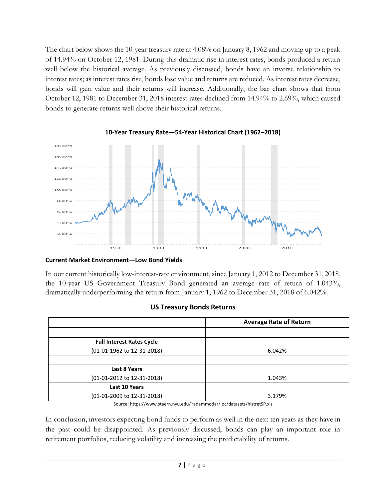The chart below shows the 10-year treasury rate at 4.08% on January 8, 1962 and moving up to a peak of 14.94% on October 12, 1981. During this dramatic rise in interest rates, bonds produced a return well below the historical average. As previously discussed, bonds have an inverse relationship to interest rates; as interest rates rise, bonds lose value and returns are reduced. As interest rates decrease, bonds will gain value and their returns will increase. Additionally, the bar chart shows that from October 12, 1981 to December 31, 2018 interest rates declined from 14.94% to 2.69%, which caused bonds to generate returns well above their historical returns.



#### **10-Year Treasury Rate—54-Year Historical Chart (1962–2018)**

#### **Current Market Environment—Low Bond Yields**

In our current historically low-interest-rate environment, since January 1, 2012 to December 31, 2018, the 10-year US Government Treasury Bond generated an average rate of return of 1.043%, dramatically underperforming the return from January 1, 1962 to December 31, 2018 of 6.042%.

#### **US Treasury Bonds Returns**

| 6.042%                                                                 |
|------------------------------------------------------------------------|
|                                                                        |
|                                                                        |
| 1.043%                                                                 |
|                                                                        |
| 3.179%                                                                 |
| Course bttps://www.stoorn.nu.odu/vodammodar/ no/datasate/bistratCD.yle |

Source: https://www.staern.nyu.edu/~adammodar/.pc/datasets/histretSP.xls

In conclusion, investors expecting bond funds to perform as well in the next ten years as they have in the past could be disappointed. As previously discussed, bonds can play an important role in retirement portfolios, reducing volatility and increasing the predictability of returns.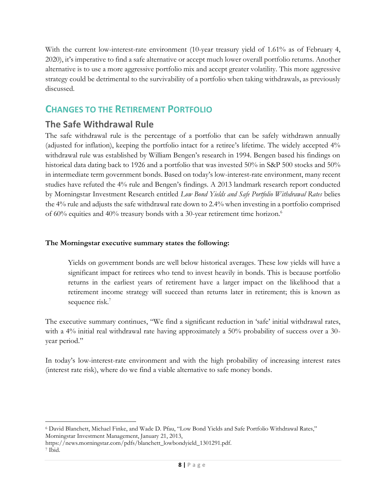With the current low-interest-rate environment (10-year treasury yield of 1.61% as of February 4, 2020), it's imperative to find a safe alternative or accept much lower overall portfolio returns. Another alternative is to use a more aggressive portfolio mix and accept greater volatility. This more aggressive strategy could be detrimental to the survivability of a portfolio when taking withdrawals, as previously discussed.

# <span id="page-10-0"></span>**CHANGES TO THE RETIREMENT PORTFOLIO**

# <span id="page-10-1"></span>**The Safe Withdrawal Rule**

The safe withdrawal rule is the percentage of a portfolio that can be safely withdrawn annually (adjusted for inflation), keeping the portfolio intact for a retiree's lifetime. The widely accepted 4% withdrawal rule was established by William Bengen's research in 1994. Bengen based his findings on historical data dating back to 1926 and a portfolio that was invested 50% in S&P 500 stocks and 50% in intermediate term government bonds. Based on today's low-interest-rate environment, many recent studies have refuted the 4% rule and Bengen's findings. A 2013 landmark research report conducted by Morningstar Investment Research entitled *Low Bond Yields and Safe Portfolio Withdrawal Rates* belies the 4% rule and adjusts the safe withdrawal rate down to 2.4% when investing in a portfolio comprised of 60% equities and 40% treasury bonds with a 30-year retirement time horizon. 6

### **The Morningstar executive summary states the following:**

Yields on government bonds are well below historical averages. These low yields will have a significant impact for retirees who tend to invest heavily in bonds. This is because portfolio returns in the earliest years of retirement have a larger impact on the likelihood that a retirement income strategy will succeed than returns later in retirement; this is known as sequence risk.<sup>7</sup>

The executive summary continues, "We find a significant reduction in 'safe' initial withdrawal rates, with a 4% initial real withdrawal rate having approximately a 50% probability of success over a 30year period."

<span id="page-10-2"></span>In today's low-interest-rate environment and with the high probability of increasing interest rates (interest rate risk), where do we find a viable alternative to safe money bonds.

<sup>6</sup> David Blanchett, Michael Finke, and Wade D. Pfau, "Low Bond Yields and Safe Portfolio Withdrawal Rates," Morningstar Investment Management, January 21, 2013,

[https://news.morningstar.com/pdfs/blanchett\\_lowbondyield\\_1301291.pdf.](https://news.morningstar.com/pdfs/blanchett_lowbondyield_1301291.pdf)

 $^7$  Ibid.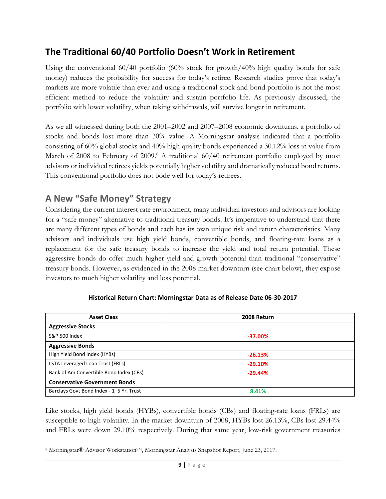# **The Traditional 60/40 Portfolio Doesn't Work in Retirement**

Using the conventional 60/40 portfolio (60% stock for growth/40% high quality bonds for safe money) reduces the probability for success for today's retiree. Research studies prove that today's markets are more volatile than ever and using a traditional stock and bond portfolio is not the most efficient method to reduce the volatility and sustain portfolio life. As previously discussed, the portfolio with lower volatility, when taking withdrawals, will survive longer in retirement.

As we all witnessed during both the 2001–2002 and 2007–2008 economic downturns, a portfolio of stocks and bonds lost more than 30% value. A Morningstar analysis indicated that a portfolio consisting of 60% global stocks and 40% high quality bonds experienced a 30.12% loss in value from March of 2008 to February of 2009.<sup>8</sup> A traditional 60/40 retirement portfolio employed by most advisors or individual retirees yields potentially higher volatility and dramatically reduced bond returns. This conventional portfolio does not bode well for today's retirees.

# <span id="page-11-0"></span>**A New "Safe Money" Strategy**

Considering the current interest rate environment, many individual investors and advisors are looking for a "safe money" alternative to traditional treasury bonds. It's imperative to understand that there are many different types of bonds and each has its own unique risk and return characteristics. Many advisors and individuals use high yield bonds, convertible bonds, and floating-rate loans as a replacement for the safe treasury bonds to increase the yield and total return potential. These aggressive bonds do offer much higher yield and growth potential than traditional "conservative" treasury bonds. However, as evidenced in the 2008 market downturn (see chart below), they expose investors to much higher volatility and loss potential.

| <b>Asset Class</b>                       | 2008 Return |  |
|------------------------------------------|-------------|--|
| <b>Aggressive Stocks</b>                 |             |  |
| <b>S&amp;P 500 Index</b>                 | $-37.00\%$  |  |
| <b>Aggressive Bonds</b>                  |             |  |
| High Yield Bond Index (HYBs)             | $-26.13%$   |  |
| LSTA Leveraged Loan Trust (FRLs)         | $-29.10%$   |  |
| Bank of Am Convertible Bond Index (CBs)  | $-29.44%$   |  |
| <b>Conservative Government Bonds</b>     |             |  |
| Barclays Govt Bond Index - 1-5 Yr. Trust | 8.41%       |  |

#### **Historical Return Chart: Morningstar Data as of Release Date 06-30-2017**

Like stocks, high yield bonds (HYBs), convertible bonds (CBs) and floating-rate loans (FRLs) are susceptible to high volatility. In the market downturn of 2008, HYBs lost 26.13%, CBs lost 29.44% and FRLs were down 29.10% respectively. During that same year, low-risk government treasuries

<sup>8</sup> Morningstar® Advisor Workstation<sup>SM</sup>, Morningstar Analysis Snapshot Report, June 23, 2017.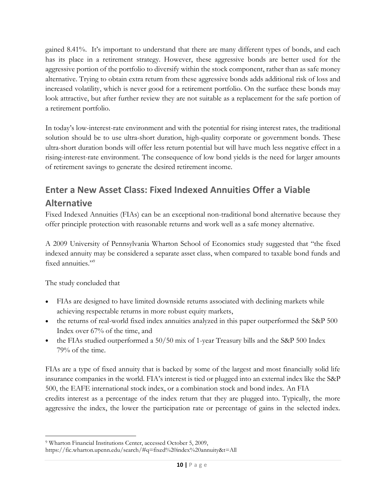gained 8.41%. It's important to understand that there are many different types of bonds, and each has its place in a retirement strategy. However, these aggressive bonds are better used for the aggressive portion of the portfolio to diversify within the stock component, rather than as safe money alternative. Trying to obtain extra return from these aggressive bonds adds additional risk of loss and increased volatility, which is never good for a retirement portfolio. On the surface these bonds may look attractive, but after further review they are not suitable as a replacement for the safe portion of a retirement portfolio.

In today's low-interest-rate environment and with the potential for rising interest rates, the traditional solution should be to use ultra-short duration, high-quality corporate or government bonds. These ultra-short duration bonds will offer less return potential but will have much less negative effect in a rising-interest-rate environment. The consequence of low bond yields is the need for larger amounts of retirement savings to generate the desired retirement income.

# <span id="page-12-0"></span>**Enter a New Asset Class: Fixed Indexed Annuities Offer a Viable Alternative**

Fixed Indexed Annuities (FIAs) can be an exceptional non-traditional bond alternative because they offer principle protection with reasonable returns and work well as a safe money alternative.

A 2009 University of Pennsylvania Wharton School of Economics study suggested that "the fixed indexed annuity may be considered a separate asset class, when compared to taxable bond funds and fixed annuities."<sup>9</sup>

The study concluded that

- FIAs are designed to have limited downside returns associated with declining markets while achieving respectable returns in more robust equity markets,
- the returns of real-world fixed index annuities analyzed in this paper outperformed the S&P 500 Index over 67% of the time, and
- the FIAs studied outperformed a 50/50 mix of 1-year Treasury bills and the S&P 500 Index 79% of the time.

FIAs are a type of fixed annuity that is backed by some of the largest and most financially solid life insurance companies in the world. FIA's interest is tied or plugged into an external index like the S&P 500, the EAFE international stock index, or a combination stock and bond index. An FIA credits interest as a percentage of the index return that they are plugged into. Typically, the more aggressive the index, the lower the participation rate or percentage of gains in the selected index.

<sup>9</sup> Wharton Financial Institutions Center, accessed October 5, 2009,

<https://fic.wharton.upenn.edu/search/#q=fixed%20index%20annuity&t=All>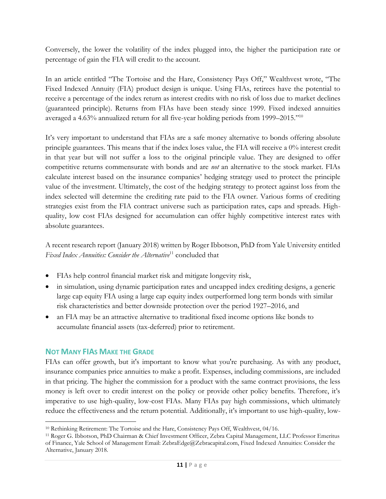Conversely, the lower the volatility of the index plugged into, the higher the participation rate or percentage of gain the FIA will credit to the account.

In an article entitled "The Tortoise and the Hare, Consistency Pays Off," Wealthvest wrote, "The Fixed Indexed Annuity (FIA) product design is unique. Using FIAs, retirees have the potential to receive a percentage of the index return as interest credits with no risk of loss due to market declines (guaranteed principle). Returns from FIAs have been steady since 1999. Fixed indexed annuities averaged a 4.63% annualized return for all five-year holding periods from 1999–2015."<sup>10</sup>

It's very important to understand that FIAs are a safe money alternative to bonds offering absolute principle guarantees. This means that if the index loses value, the FIA will receive a 0% interest credit in that year but will not suffer a loss to the original principle value. They are designed to offer competitive returns commensurate with bonds and are *not* an alternative to the stock market. FIAs calculate interest based on the insurance companies' hedging strategy used to protect the principle value of the investment. Ultimately, the cost of the hedging strategy to protect against loss from the index selected will determine the crediting rate paid to the FIA owner. Various forms of crediting strategies exist from the FIA contract universe such as participation rates, caps and spreads. Highquality, low cost FIAs designed for accumulation can offer highly competitive interest rates with absolute guarantees.

A recent research report (January 2018) written by Roger Ibbotson, PhD from Yale University entitled Fixed Index Annuities: Consider the Alternative<sup>11</sup> concluded that

- FIAs help control financial market risk and mitigate longevity risk,
- in simulation, using dynamic participation rates and uncapped index crediting designs, a generic large cap equity FIA using a large cap equity index outperformed long term bonds with similar risk characteristics and better downside protection over the period 1927–2016, and
- an FIA may be an attractive alternative to traditional fixed income options like bonds to accumulate financial assets (tax-deferred) prior to retirement.

### <span id="page-13-0"></span>**NOT MANY FIAS MAKE THE GRADE**

FIAs can offer growth, but it's important to know what you're purchasing. As with any product, insurance companies price annuities to make a profit. Expenses, including commissions, are included in that pricing. The higher the commission for a product with the same contract provisions, the less money is left over to credit interest on the policy or provide other policy benefits. Therefore, it's imperative to use high-quality, low-cost FIAs. Many FIAs pay high commissions, which ultimately reduce the effectiveness and the return potential. Additionally, it's important to use high-quality, low-

<sup>10</sup> Rethinking Retirement: The Tortoise and the Hare, Consistency Pays Off, Wealthvest, 04/16.

<sup>11</sup> Roger G. Ibbotson, PhD Chairman & Chief Investment Officer, Zebra Capital Management, LLC Professor Emeritus of Finance, Yale School of Management Email: ZebraEdge@Zebracapital.com, Fixed Indexed Annuities: Consider the Alternative, January 2018.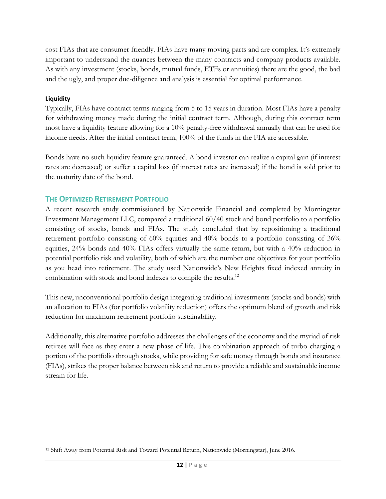cost FIAs that are consumer friendly. FIAs have many moving parts and are complex. It's extremely important to understand the nuances between the many contracts and company products available. As with any investment (stocks, bonds, mutual funds, ETFs or annuities) there are the good, the bad and the ugly, and proper due-diligence and analysis is essential for optimal performance.

#### **Liquidity**

Typically, FIAs have contract terms ranging from 5 to 15 years in duration. Most FIAs have a penalty for withdrawing money made during the initial contract term. Although, during this contract term most have a liquidity feature allowing for a 10% penalty-free withdrawal annually that can be used for income needs. After the initial contract term, 100% of the funds in the FIA are accessible.

Bonds have no such liquidity feature guaranteed. A bond investor can realize a capital gain (if interest rates are decreased) or suffer a capital loss (if interest rates are increased) if the bond is sold prior to the maturity date of the bond.

### <span id="page-14-0"></span>**THE OPTIMIZED RETIREMENT PORTFOLIO**

A recent research study commissioned by Nationwide Financial and completed by Morningstar Investment Management LLC, compared a traditional 60/40 stock and bond portfolio to a portfolio consisting of stocks, bonds and FIAs. The study concluded that by repositioning a traditional retirement portfolio consisting of 60% equities and 40% bonds to a portfolio consisting of 36% equities, 24% bonds and 40% FIAs offers virtually the same return, but with a 40% reduction in potential portfolio risk and volatility, both of which are the number one objectives for your portfolio as you head into retirement. The study used Nationwide's New Heights fixed indexed annuity in combination with stock and bond indexes to compile the results.<sup>12</sup>

This new, unconventional portfolio design integrating traditional investments (stocks and bonds) with an allocation to FIAs (for portfolio volatility reduction) offers the optimum blend of growth and risk reduction for maximum retirement portfolio sustainability.

<span id="page-14-1"></span>Additionally, this alternative portfolio addresses the challenges of the economy and the myriad of risk retirees will face as they enter a new phase of life. This combination approach of turbo charging a portion of the portfolio through stocks, while providing for safe money through bonds and insurance (FIAs), strikes the proper balance between risk and return to provide a reliable and sustainable income stream for life.

<sup>12</sup> Shift Away from Potential Risk and Toward Potential Return, Nationwide (Morningstar), June 2016.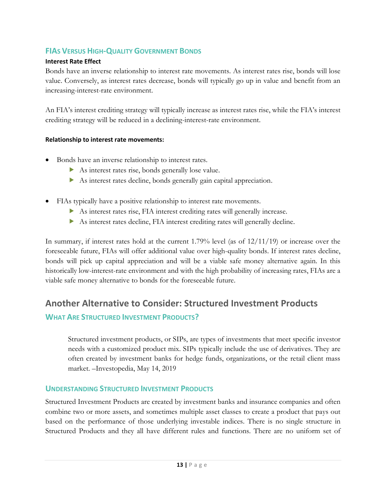## **FIAS VERSUS HIGH-QUALITY GOVERNMENT BONDS**

#### **Interest Rate Effect**

Bonds have an inverse relationship to interest rate movements. As interest rates rise, bonds will lose value. Conversely, as interest rates decrease, bonds will typically go up in value and benefit from an increasing-interest-rate environment.

An FIA's interest crediting strategy will typically increase as interest rates rise, while the FIA's interest crediting strategy will be reduced in a declining-interest-rate environment.

#### **Relationship to interest rate movements:**

- Bonds have an inverse relationship to interest rates.
	- As interest rates rise, bonds generally lose value.
	- As interest rates decline, bonds generally gain capital appreciation.
- FIAs typically have a positive relationship to interest rate movements.
	- As interest rates rise, FIA interest crediting rates will generally increase.
	- As interest rates decline, FIA interest crediting rates will generally decline.

In summary, if interest rates hold at the current 1.79% level (as of 12/11/19) or increase over the foreseeable future, FIAs will offer additional value over high-quality bonds. If interest rates decline, bonds will pick up capital appreciation and will be a viable safe money alternative again. In this historically low-interest-rate environment and with the high probability of increasing rates, FIAs are a viable safe money alternative to bonds for the foreseeable future.

# <span id="page-15-0"></span>**Another Alternative to Consider: Structured Investment Products**

## <span id="page-15-1"></span>**WHAT ARE STRUCTURED INVESTMENT PRODUCTS?**

Structured investment products, or SIPs, are types of investments that meet specific investor needs with a customized product mix. SIPs typically include the use of derivatives. They are often created by investment banks for hedge funds, organizations, or the retail client mass market. –Investopedia, May 14, 2019

## <span id="page-15-2"></span>**UNDERSTANDING STRUCTURED INVESTMENT PRODUCTS**

Structured Investment Products are created by investment banks and insurance companies and often combine two or more assets, and sometimes multiple asset classes to create a product that pays out based on the performance of those underlying investable indices. There is no single structure in Structured Products and they all have different rules and functions. There are no uniform set of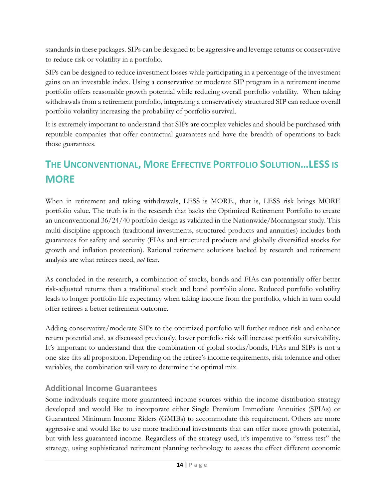standards in these packages. SIPs can be designed to be aggressive and leverage returns or conservative to reduce risk or volatility in a portfolio.

SIPs can be designed to reduce investment losses while participating in a percentage of the investment gains on an investable index. Using a conservative or moderate SIP program in a retirement income portfolio offers reasonable growth potential while reducing overall portfolio volatility. When taking withdrawals from a retirement portfolio, integrating a conservatively structured SIP can reduce overall portfolio volatility increasing the probability of portfolio survival.

It is extremely important to understand that SIPs are complex vehicles and should be purchased with reputable companies that offer contractual guarantees and have the breadth of operations to back those guarantees.

# <span id="page-16-0"></span>**THE UNCONVENTIONAL, MORE EFFECTIVE PORTFOLIO SOLUTION…LESS IS MORE**

When in retirement and taking withdrawals, LESS is MORE., that is, LESS risk brings MORE portfolio value. The truth is in the research that backs the Optimized Retirement Portfolio to create an unconventional 36/24/40 portfolio design as validated in the Nationwide/Morningstar study. This multi-discipline approach (traditional investments, structured products and annuities) includes both guarantees for safety and security (FIAs and structured products and globally diversified stocks for growth and inflation protection). Rational retirement solutions backed by research and retirement analysis are what retirees need, *not* fear.

As concluded in the research, a combination of stocks, bonds and FIAs can potentially offer better risk-adjusted returns than a traditional stock and bond portfolio alone. Reduced portfolio volatility leads to longer portfolio life expectancy when taking income from the portfolio, which in turn could offer retirees a better retirement outcome.

Adding conservative/moderate SIPs to the optimized portfolio will further reduce risk and enhance return potential and, as discussed previously, lower portfolio risk will increase portfolio survivability. It's important to understand that the combination of global stocks/bonds, FIAs and SIPs is not a one-size-fits-all proposition. Depending on the retiree's income requirements, risk tolerance and other variables, the combination will vary to determine the optimal mix.

## **Additional Income Guarantees**

Some individuals require more guaranteed income sources within the income distribution strategy developed and would like to incorporate either Single Premium Immediate Annuities (SPIAs) or Guaranteed Minimum Income Riders (GMIBs) to accommodate this requirement. Others are more aggressive and would like to use more traditional investments that can offer more growth potential, but with less guaranteed income. Regardless of the strategy used, it's imperative to "stress test" the strategy, using sophisticated retirement planning technology to assess the effect different economic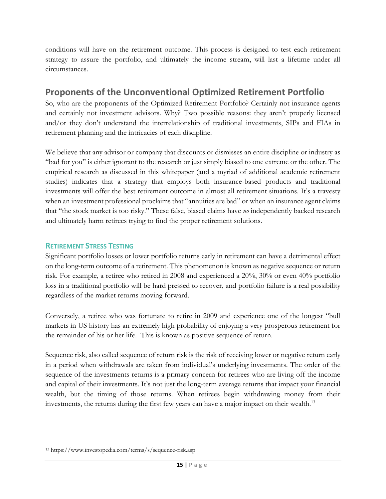conditions will have on the retirement outcome. This process is designed to test each retirement strategy to assure the portfolio, and ultimately the income stream, will last a lifetime under all circumstances.

## <span id="page-17-0"></span>**Proponents of the Unconventional Optimized Retirement Portfolio**

So, who are the proponents of the Optimized Retirement Portfolio? Certainly not insurance agents and certainly not investment advisors. Why? Two possible reasons: they aren't properly licensed and/or they don't understand the interrelationship of traditional investments, SIPs and FIAs in retirement planning and the intricacies of each discipline.

We believe that any advisor or company that discounts or dismisses an entire discipline or industry as "bad for you" is either ignorant to the research or just simply biased to one extreme or the other. The empirical research as discussed in this whitepaper (and a myriad of additional academic retirement studies) indicates that a strategy that employs both insurance-based products and traditional investments will offer the best retirement outcome in almost all retirement situations. It's a travesty when an investment professional proclaims that "annuities are bad" or when an insurance agent claims that "the stock market is too risky." These false, biased claims have *no* independently backed research and ultimately harm retirees trying to find the proper retirement solutions.

### <span id="page-17-1"></span>**RETIREMENT STRESS TESTING**

Significant portfolio losses or lower portfolio returns early in retirement can have a detrimental effect on the long-term outcome of a retirement. This phenomenon is known as negative sequence or return risk. For example, a retiree who retired in 2008 and experienced a 20%, 30% or even 40% portfolio loss in a traditional portfolio will be hard pressed to recover, and portfolio failure is a real possibility regardless of the market returns moving forward.

Conversely, a retiree who was fortunate to retire in 2009 and experience one of the longest "bull markets in US history has an extremely high probability of enjoying a very prosperous retirement for the remainder of his or her life. This is known as positive sequence of return.

Sequence risk, also called sequence of return risk is the risk of receiving lower or negative return early in a period when withdrawals are taken from individual's underlying investments. The order of the sequence of the investments returns is a primary concern for retirees who are living off the income and capital of their investments. It's not just the long-term average returns that impact your financial wealth, but the timing of those returns. When retirees begin withdrawing money from their investments, the returns during the first few years can have a major impact on their wealth.<sup>13</sup>

<sup>13</sup> https://www.investopedia.com/terms/s/sequence-risk.asp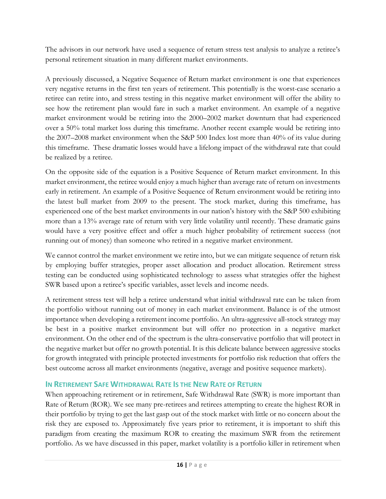The advisors in our network have used a sequence of return stress test analysis to analyze a retiree's personal retirement situation in many different market environments.

A previously discussed, a Negative Sequence of Return market environment is one that experiences very negative returns in the first ten years of retirement. This potentially is the worst-case scenario a retiree can retire into, and stress testing in this negative market environment will offer the ability to see how the retirement plan would fare in such a market environment. An example of a negative market environment would be retiring into the 2000–2002 market downturn that had experienced over a 50% total market loss during this timeframe. Another recent example would be retiring into the 2007–2008 market environment when the S&P 500 Index lost more than 40% of its value during this timeframe. These dramatic losses would have a lifelong impact of the withdrawal rate that could be realized by a retiree.

On the opposite side of the equation is a Positive Sequence of Return market environment. In this market environment, the retiree would enjoy a much higher than average rate of return on investments early in retirement. An example of a Positive Sequence of Return environment would be retiring into the latest bull market from 2009 to the present. The stock market, during this timeframe, has experienced one of the best market environments in our nation's history with the S&P 500 exhibiting more than a 13% average rate of return with very little volatility until recently. These dramatic gains would have a very positive effect and offer a much higher probability of retirement success (not running out of money) than someone who retired in a negative market environment.

We cannot control the market environment we retire into, but we can mitigate sequence of return risk by employing buffer strategies, proper asset allocation and product allocation. Retirement stress testing can be conducted using sophisticated technology to assess what strategies offer the highest SWR based upon a retiree's specific variables, asset levels and income needs.

A retirement stress test will help a retiree understand what initial withdrawal rate can be taken from the portfolio without running out of money in each market environment. Balance is of the utmost importance when developing a retirement income portfolio. An ultra-aggressive all-stock strategy may be best in a positive market environment but will offer no protection in a negative market environment. On the other end of the spectrum is the ultra-conservative portfolio that will protect in the negative market but offer no growth potential. It is this delicate balance between aggressive stocks for growth integrated with principle protected investments for portfolio risk reduction that offers the best outcome across all market environments (negative, average and positive sequence markets).

## <span id="page-18-0"></span>**IN RETIREMENT SAFE WITHDRAWAL RATE IS THE NEW RATE OF RETURN**

When approaching retirement or in retirement, Safe Withdrawal Rate (SWR) is more important than Rate of Return (ROR). We see many pre-retirees and retirees attempting to create the highest ROR in their portfolio by trying to get the last gasp out of the stock market with little or no concern about the risk they are exposed to. Approximately five years prior to retirement, it is important to shift this paradigm from creating the maximum ROR to creating the maximum SWR from the retirement portfolio. As we have discussed in this paper, market volatility is a portfolio killer in retirement when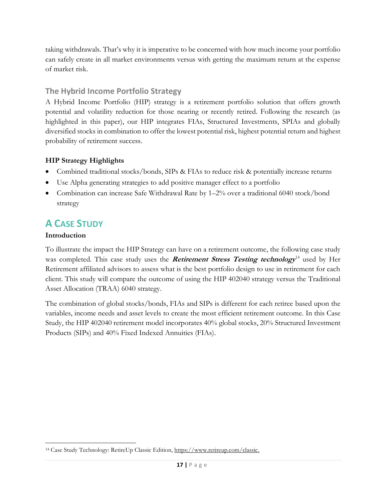taking withdrawals. That's why it is imperative to be concerned with how much income your portfolio can safely create in all market environments versus with getting the maximum return at the expense of market risk.

## **The Hybrid Income Portfolio Strategy**

A Hybrid Income Portfolio (HIP) strategy is a retirement portfolio solution that offers growth potential and volatility reduction for those nearing or recently retired. Following the research (as highlighted in this paper), our HIP integrates FIAs, Structured Investments, SPIAs and globally diversified stocks in combination to offer the lowest potential risk, highest potential return and highest probability of retirement success.

## **HIP Strategy Highlights**

- Combined traditional stocks/bonds, SIPs & FIAs to reduce risk & potentially increase returns
- Use Alpha generating strategies to add positive manager effect to a portfolio
- Combination can increase Safe Withdrawal Rate by 1–2% over a traditional 6040 stock/bond strategy

# <span id="page-19-0"></span>**A CASE STUDY**

## **Introduction**

To illustrate the impact the HIP Strategy can have on a retirement outcome, the following case study was completed. This case study uses the *Retirement Stress Testing technology*<sup>14</sup> used by Her Retirement affiliated advisors to assess what is the best portfolio design to use in retirement for each client. This study will compare the outcome of using the HIP 402040 strategy versus the Traditional Asset Allocation (TRAA) 6040 strategy.

The combination of global stocks/bonds, FIAs and SIPs is different for each retiree based upon the variables, income needs and asset levels to create the most efficient retirement outcome. In this Case Study, the HIP 402040 retirement model incorporates 40% global stocks, 20% Structured Investment Products (SIPs) and 40% Fixed Indexed Annuities (FIAs).

<sup>14</sup> Case Study Technology: RetireUp Classic Edition, [https://www.retireup.com/classic.](https://www.retireup.com/classic)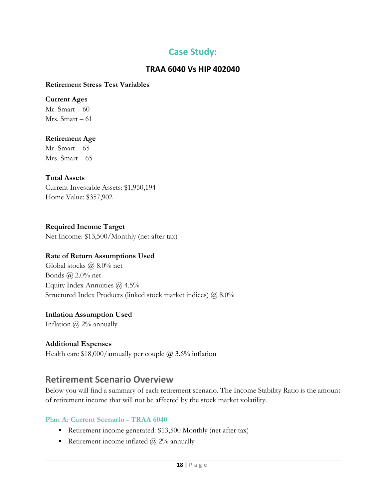# **Case Study:**

### **TRAA 6040 Vs HIP 402040**

#### **Retirement Stress Test Variables**

#### **Current Ages**

Mr. Smart – 60 Mrs. Smart – 61

#### **Retirement Age**

Mr. Smart – 65 Mrs. Smart – 65

#### **Total Assets**

Current Investable Assets: \$1,950,194 Home Value: \$357,902

**Required Income Target**  Net Income: \$13,500/Monthly (net after tax)

#### **Rate of Return Assumptions Used**

Global stocks @ 8.0% net Bonds @ 2.0% net Equity Index Annuities @ 4.5% Structured Index Products (linked stock market indices) @ 8.0%

#### **Inflation Assumption Used**

Inflation  $\omega$  2% annually

#### **Additional Expenses**

Health care  $$18,000/$ annually per couple  $@3.6\%$  inflation

## <span id="page-20-0"></span>**Retirement Scenario Overview**

Below you will find a summary of each retirement scenario. The Income Stability Ratio is the amount of retirement income that will not be affected by the stock market volatility.

#### **Plan A: Current Scenario - TRAA 6040**

- Retirement income generated: \$13,500 Monthly (net after tax)
- **•** Retirement income inflated  $\omega$  2% annually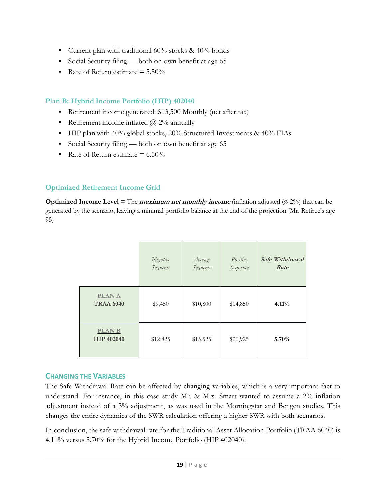- **•** Current plan with traditional  $60\%$  stocks &  $40\%$  bonds
- Social Security filing both on own benefit at age 65
- Rate of Return estimate  $= 5.50\%$

## **Plan B: Hybrid Income Portfolio (HIP) 402040**

- Retirement income generated: \$13,500 Monthly (net after tax)
- **•** Retirement income inflated  $\omega$  2% annually
- **.** HIP plan with 40% global stocks, 20% Structured Investments & 40% FIAs
- Social Security filing both on own benefit at age 65
- Rate of Return estimate  $= 6.50\%$

## <span id="page-21-0"></span>**Optimized Retirement Income Grid**

**Optimized Income Level =** The **maximum net monthly income** (inflation adjusted @ 2%) that can be generated by the scenario, leaving a minimal portfolio balance at the end of the projection (Mr. Retiree's age 95)

|                                   | Negative<br>Sequence | Average<br>Sequence | Positive<br>Sequence | <b>Safe Withdrawal</b><br>Rate |
|-----------------------------------|----------------------|---------------------|----------------------|--------------------------------|
| <b>PLANA</b><br><b>TRAA 6040</b>  | \$9,450              | \$10,800            | \$14,850             | 4.11%                          |
| <b>PLANB</b><br><b>HIP 402040</b> | \$12,825             | \$15,525            | \$20,925             | 5.70%                          |

## <span id="page-21-1"></span>**CHANGING THE VARIABLES**

The Safe Withdrawal Rate can be affected by changing variables, which is a very important fact to understand. For instance, in this case study Mr. & Mrs. Smart wanted to assume a 2% inflation adjustment instead of a 3% adjustment, as was used in the Morningstar and Bengen studies. This changes the entire dynamics of the SWR calculation offering a higher SWR with both scenarios.

In conclusion, the safe withdrawal rate for the Traditional Asset Allocation Portfolio (TRAA 6040) is 4.11% versus 5.70% for the Hybrid Income Portfolio (HIP 402040).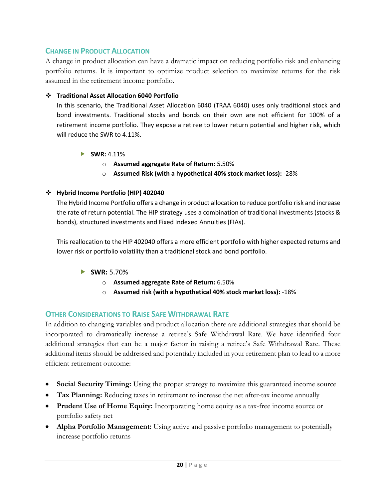### <span id="page-22-0"></span>**CHANGE IN PRODUCT ALLOCATION**

A change in product allocation can have a dramatic impact on reducing portfolio risk and enhancing portfolio returns. It is important to optimize product selection to maximize returns for the risk assumed in the retirement income portfolio.

#### ❖ **Traditional Asset Allocation 6040 Portfolio**

In this scenario, the Traditional Asset Allocation 6040 (TRAA 6040) uses only traditional stock and bond investments. Traditional stocks and bonds on their own are not efficient for 100% of a retirement income portfolio. They expose a retiree to lower return potential and higher risk, which will reduce the SWR to 4.11%.

- **SWR:** 4.11%
	- o **Assumed aggregate Rate of Return:** 5.50%
	- o **Assumed Risk (with a hypothetical 40% stock market loss):** -28%

#### ❖ **Hybrid Income Portfolio (HIP) 402040**

The Hybrid Income Portfolio offers a change in product allocation to reduce portfolio risk and increase the rate of return potential. The HIP strategy uses a combination of traditional investments (stocks & bonds), structured investments and Fixed Indexed Annuities (FIAs).

This reallocation to the HIP 402040 offers a more efficient portfolio with higher expected returns and lower risk or portfolio volatility than a traditional stock and bond portfolio.

- **SWR:** 5.70%
	- o **Assumed aggregate Rate of Return:** 6.50%
	- o **Assumed risk (with a hypothetical 40% stock market loss):** -18%

### <span id="page-22-1"></span>**OTHER CONSIDERATIONS TO RAISE SAFE WITHDRAWAL RATE**

In addition to changing variables and product allocation there are additional strategies that should be incorporated to dramatically increase a retiree's Safe Withdrawal Rate. We have identified four additional strategies that can be a major factor in raising a retiree's Safe Withdrawal Rate. These additional items should be addressed and potentially included in your retirement plan to lead to a more efficient retirement outcome:

- **Social Security Timing:** Using the proper strategy to maximize this guaranteed income source
- **Tax Planning:** Reducing taxes in retirement to increase the net after-tax income annually
- **Prudent Use of Home Equity:** Incorporating home equity as a tax-free income source or portfolio safety net
- **Alpha Portfolio Management:** Using active and passive portfolio management to potentially increase portfolio returns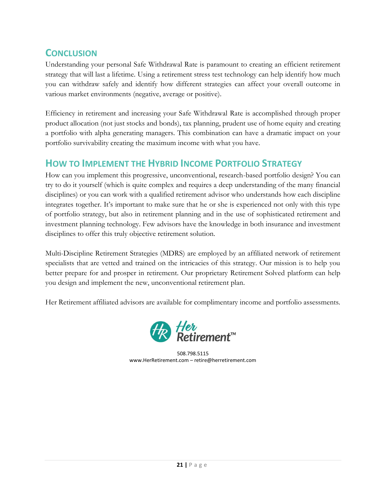# <span id="page-23-0"></span>**CONCLUSION**

Understanding your personal Safe Withdrawal Rate is paramount to creating an efficient retirement strategy that will last a lifetime. Using a retirement stress test technology can help identify how much you can withdraw safely and identify how different strategies can affect your overall outcome in various market environments (negative, average or positive).

Efficiency in retirement and increasing your Safe Withdrawal Rate is accomplished through proper product allocation (not just stocks and bonds), tax planning, prudent use of home equity and creating a portfolio with alpha generating managers. This combination can have a dramatic impact on your portfolio survivability creating the maximum income with what you have.

# <span id="page-23-1"></span>**HOW TO IMPLEMENT THE HYBRID INCOME PORTFOLIO STRATEGY**

How can you implement this progressive, unconventional, research-based portfolio design? You can try to do it yourself (which is quite complex and requires a deep understanding of the many financial disciplines) or you can work with a qualified retirement advisor who understands how each discipline integrates together. It's important to make sure that he or she is experienced not only with this type of portfolio strategy, but also in retirement planning and in the use of sophisticated retirement and investment planning technology. Few advisors have the knowledge in both insurance and investment disciplines to offer this truly objective retirement solution.

Multi-Discipline Retirement Strategies (MDRS) are employed by an affiliated network of retirement specialists that are vetted and trained on the intricacies of this strategy. Our mission is to help you better prepare for and prosper in retirement. Our proprietary Retirement Solved platform can help you design and implement the new, unconventional retirement plan.

Her Retirement affiliated advisors are available for complimentary income and portfolio assessments.



508.798.5115 www.HerRetirement.com – retire@herretirement.com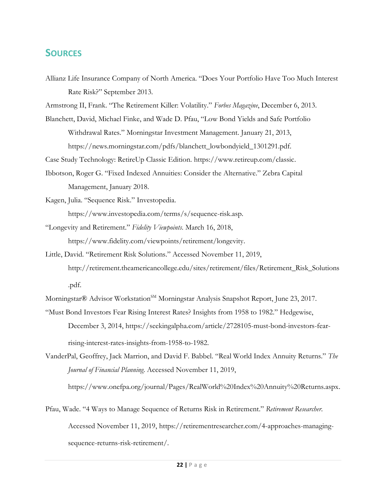## <span id="page-24-0"></span>**SOURCES**

Allianz Life Insurance Company of North America. "Does Your Portfolio Have Too Much Interest Rate Risk?" September 2013.

Armstrong II, Frank. "The Retirement Killer: Volatility." *Forbes Magazine*, December 6, 2013.

Blanchett, David, Michael Finke, and Wade D. Pfau, "Low Bond Yields and Safe Portfolio Withdrawal Rates." Morningstar Investment Management. January 21, 2013, https://news.morningstar.com/pdfs/blanchett\_lowbondyield\_1301291.pdf.

Case Study Technology: RetireUp Classic Edition. [https://www.retireup.com/classic.](https://www.retireup.com/classic)

- Ibbotson, Roger G. "Fixed Indexed Annuities: Consider the Alternative." Zebra Capital Management, January 2018.
- Kagen, Julia. "Sequence Risk." Investopedia. [https://www.investopedia.com/terms/s/sequence-risk.asp.](https://www.investopedia.com/terms/s/sequence-risk.asp)
- "Longevity and Retirement." *Fidelity Viewpoints*. March 16, 2018, [https://www.fidelity.com/viewpoints/retirement/longevity.](https://www.fidelity.com/viewpoints/retirement/longevity)
- Little, David. "Retirement Risk Solutions." Accessed November 11, 2019, [http://retirement.theamericancollege.edu/sites/retirement/files/Retirement\\_Risk\\_Solutions](http://retirement.theamericancollege.edu/sites/retirement/files/Retirement_Risk_Solutions.pdf) [.pdf.](http://retirement.theamericancollege.edu/sites/retirement/files/Retirement_Risk_Solutions.pdf)

Morningstar® Advisor Workstation<sup>SM</sup> Morningstar Analysis Snapshot Report, June 23, 2017.

- "Must Bond Investors Fear Rising Interest Rates? Insights from 1958 to 1982." Hedgewise, December 3, 2014, [https://seekingalpha.com/article/2728105-must-bond-investors-fear](https://seekingalpha.com/article/2728105-must-bond-investors-fear-)rising-interest-rates-insights-from-1958-to-1982.
- VanderPal, Geoffrey, Jack Marrion, and David F. Babbel. "Real World Index Annuity Returns." *The Journal of Financial Planning*. Accessed November 11, 2019,

[https://www.onefpa.org/journal/Pages/RealWorld%20Index%20Annuity%20Returns.aspx.](https://www.onefpa.org/journal/Pages/RealWorld%20Index%20Annuity%20Returns.aspx)

Pfau, Wade. "4 Ways to Manage Sequence of Returns Risk in Retirement." *Retirement Researcher*. Accessed November 11, 2019, [https://retirementresearcher.com/4-approaches-managing](https://retirementresearcher.com/4-approaches-managing-sequence-returns-)[sequence-returns-r](https://retirementresearcher.com/4-approaches-managing-sequence-returns-)isk-retirement/.